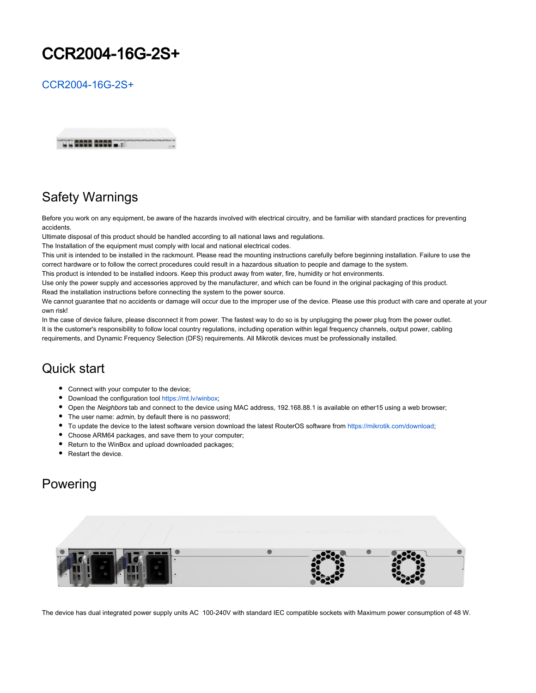# CCR2004-16G-2S+

[CCR2004-16G-2S+](https://mikrotik.com/product/ccr2004_16g_2s_)



# Safety Warnings

Before you work on any equipment, be aware of the hazards involved with electrical circuitry, and be familiar with standard practices for preventing accidents.

Ultimate disposal of this product should be handled according to all national laws and regulations.

The Installation of the equipment must comply with local and national electrical codes.

This unit is intended to be installed in the rackmount. Please read the mounting instructions carefully before beginning installation. Failure to use the

correct hardware or to follow the correct procedures could result in a hazardous situation to people and damage to the system.

This product is intended to be installed indoors. Keep this product away from water, fire, humidity or hot environments.

Use only the power supply and accessories approved by the manufacturer, and which can be found in the original packaging of this product. Read the installation instructions before connecting the system to the power source.

We cannot guarantee that no accidents or damage will occur due to the improper use of the device. Please use this product with care and operate at your own risk!

In the case of device failure, please disconnect it from power. The fastest way to do so is by unplugging the power plug from the power outlet. It is the customer's responsibility to follow local country regulations, including operation within legal frequency channels, output power, cabling requirements, and Dynamic Frequency Selection (DFS) requirements. All Mikrotik devices must be professionally installed.

#### Quick start

- Connect with your computer to the device;
- Download the configuration tool [https://mt.lv/winbox;](https://mt.lv/winbox)
- Open the Neighbors tab and connect to the device using MAC address, 192.168.88.1 is available on ether15 using a web browser;
- The user name: *admin*, by default there is no password;
- To update the device to the latest software version download the latest RouterOS software from [https://mikrotik.com/download;](https://mikrotik.com/download)
- Choose ARM64 packages, and save them to your computer;
- Return to the WinBox and upload downloaded packages;
- Restart the device.

#### Powering



The device has dual integrated power supply units AC 100-240V with standard IEC compatible sockets with Maximum power consumption of 48 W.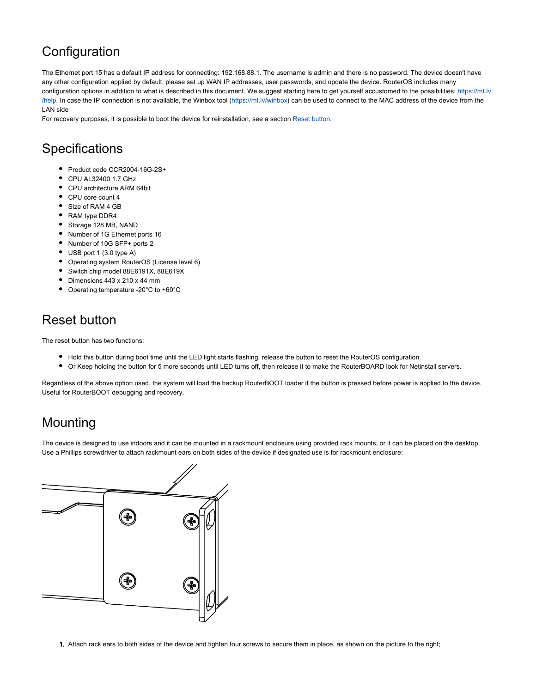# **Configuration**

The Ethernet port 15 has a default IP address for connecting: 192.168.88.1. The username is admin and there is no password. The device doesn't have any other configuration applied by default, please set up WAN IP addresses, user passwords, and update the device. RouterOS includes many configuration options in addition to what is described in this document. We suggest starting here to get yourself accustomed to the possibilities: [https://mt.lv](https://mt.lv/help) [/help](https://mt.lv/help). In case the IP connection is not available, the Winbox tool (<https://mt.lv/winbox>) can be used to connect to the MAC address of the device from the LAN side

For recovery purposes, it is possible to boot the device for reinstallation, see a section [Reset button.](https://help.mikrotik.com/docs/pages/viewpage.action?pageId=23396364#CCR20041G12S+2XS-Resetbutton)

## **Specifications**

- Product code CCR2004-16G-2S+
- CPU AL32400 1.7 GHz
- CPU architecture ARM 64bit
- CPU core count 4
- Size of RAM 4 GB
- RAM type DDR4
- Storage 128 MB, NAND
- Number of 1G Ethernet ports 16
- Number of 10G SFP+ ports 2
- USB port 1 (3.0 type A)
- Operating system RouterOS (License level 6)
- Switch chip model 88E6191X, 88E619X
- Dimensions 443 x 210 x 44 mm
- Operating temperature -20°C to +60°C

# Reset button

The reset button has two functions:

- Hold this button during boot time until the LED light starts flashing, release the button to reset the RouterOS configuration.
- Or Keep holding the button for 5 more seconds until LED turns off, then release it to make the RouterBOARD look for Netinstall servers.

Regardless of the above option used, the system will load the backup RouterBOOT loader if the button is pressed before power is applied to the device. Useful for RouterBOOT debugging and recovery.

# Mounting

The device is designed to use indoors and it can be mounted in a rackmount enclosure using provided rack mounts, or it can be placed on the desktop. Use a Phillips screwdriver to attach rackmount ears on both sides of the device if designated use is for rackmount enclosure:



1. Attach rack ears to both sides of the device and tighten four screws to secure them in place, as shown on the picture to the right;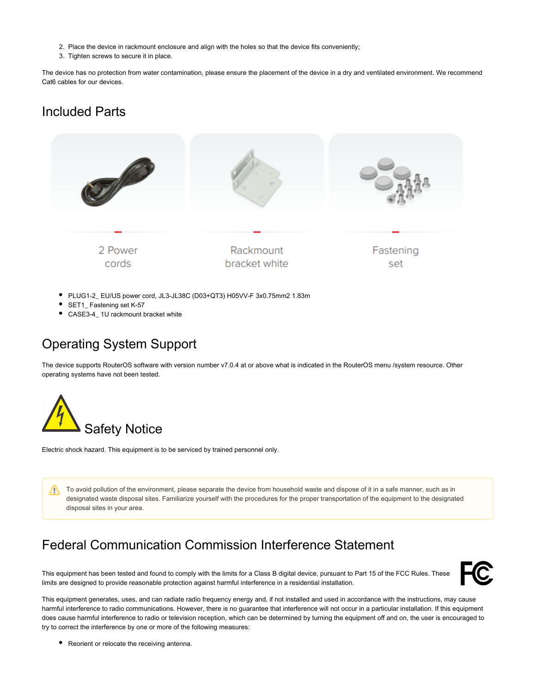- 2. Place the device in rackmount enclosure and align with the holes so that the device fits conveniently;
- 3. Tighten screws to secure it in place.

The device has no protection from water contamination, please ensure the placement of the device in a dry and ventilated environment. We recommend Cat6 cables for our devices.

#### Included Parts



- PLUG1-2 EU/US power cord, JL3-JL38C (D03+QT3) H05VV-F 3x0.75mm2 1.83m
- SET1 Fastening set K-57
- CASE3-4 1U rackmount bracket white

# Operating System Support

The device supports RouterOS software with version number v7.0.4 at or above what is indicated in the RouterOS menu /system resource. Other operating systems have not been tested.



Electric shock hazard. This equipment is to be serviced by trained personnel only.

To avoid pollution of the environment, please separate the device from household waste and dispose of it in a safe manner, such as in Λ designated waste disposal sites. Familiarize yourself with the procedures for the proper transportation of the equipment to the designated disposal sites in your area.

# Federal Communication Commission Interference Statement

This equipment has been tested and found to comply with the limits for a Class B digital device, pursuant to Part 15 of the FCC Rules. These limits are designed to provide reasonable protection against harmful interference in a residential installation.



This equipment generates, uses, and can radiate radio frequency energy and, if not installed and used in accordance with the instructions, may cause harmful interference to radio communications. However, there is no guarantee that interference will not occur in a particular installation. If this equipment does cause harmful interference to radio or television reception, which can be determined by turning the equipment off and on, the user is encouraged to try to correct the interference by one or more of the following measures:

• Reorient or relocate the receiving antenna.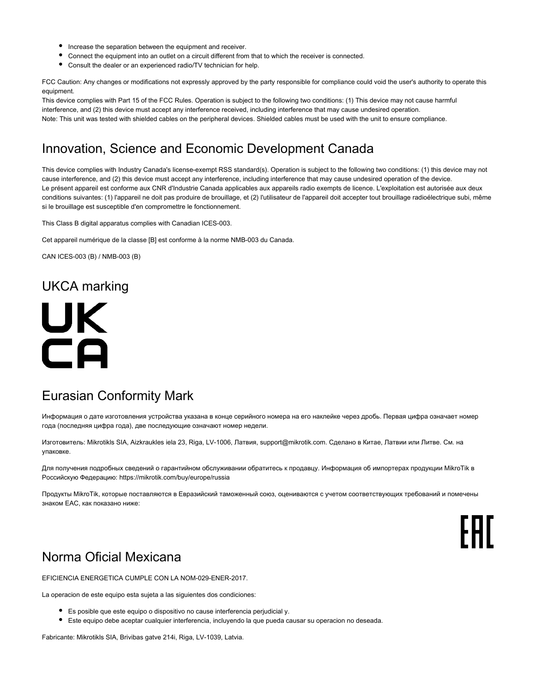- Increase the separation between the equipment and receiver.
- Connect the equipment into an outlet on a circuit different from that to which the receiver is connected.
- Consult the dealer or an experienced radio/TV technician for help.

FCC Caution: Any changes or modifications not expressly approved by the party responsible for compliance could void the user's authority to operate this equipment.

This device complies with Part 15 of the FCC Rules. Operation is subject to the following two conditions: (1) This device may not cause harmful interference, and (2) this device must accept any interference received, including interference that may cause undesired operation. Note: This unit was tested with shielded cables on the peripheral devices. Shielded cables must be used with the unit to ensure compliance.

## Innovation, Science and Economic Development Canada

This device complies with Industry Canada's license-exempt RSS standard(s). Operation is subject to the following two conditions: (1) this device may not cause interference, and (2) this device must accept any interference, including interference that may cause undesired operation of the device. Le présent appareil est conforme aux CNR d'Industrie Canada applicables aux appareils radio exempts de licence. L'exploitation est autorisée aux deux conditions suivantes: (1) l'appareil ne doit pas produire de brouillage, et (2) l'utilisateur de l'appareil doit accepter tout brouillage radioélectrique subi, même si le brouillage est susceptible d'en compromettre le fonctionnement.

This Class B digital apparatus complies with Canadian ICES-003.

Cet appareil numérique de la classe [B] est conforme à la norme NMB-003 du Canada.

CAN ICES-003 (B) / NMB-003 (B)

### UKCA marking



#### Eurasian Conformity Mark

Информация о дате изготовления устройства указана в конце серийного номера на его наклейке через дробь. Первая цифра означает номер года (последняя цифра года), две последующие означают номер недели.

Изготовитель: Mikrotikls SIA, Aizkraukles iela 23, Riga, LV-1006, Латвия, [support@mikrotik.com.](mailto:support@mikrotik.com) Сделано в Китае, Латвии или Литве. Cм. на упаковке.

Для получения подробных сведений о гарантийном обслуживании обратитесь к продавцу. Информация об импортерах продукции MikroTik в Российскую Федерацию:<https://mikrotik.com/buy/europe/russia>

Продукты MikroTik, которые поставляются в Евразийский таможенный союз, оцениваются с учетом соответствующих требований и помечены знаком EAC, как показано ниже:



### Norma Oficial Mexicana

EFICIENCIA ENERGETICA CUMPLE CON LA NOM-029-ENER-2017.

La operacion de este equipo esta sujeta a las siguientes dos condiciones:

- Es posible que este equipo o dispositivo no cause interferencia perjudicial y.
- Este equipo debe aceptar cualquier interferencia, incluyendo la que pueda causar su operacion no deseada.

Fabricante: Mikrotikls SIA, Brivibas gatve 214i, Riga, LV-1039, Latvia.